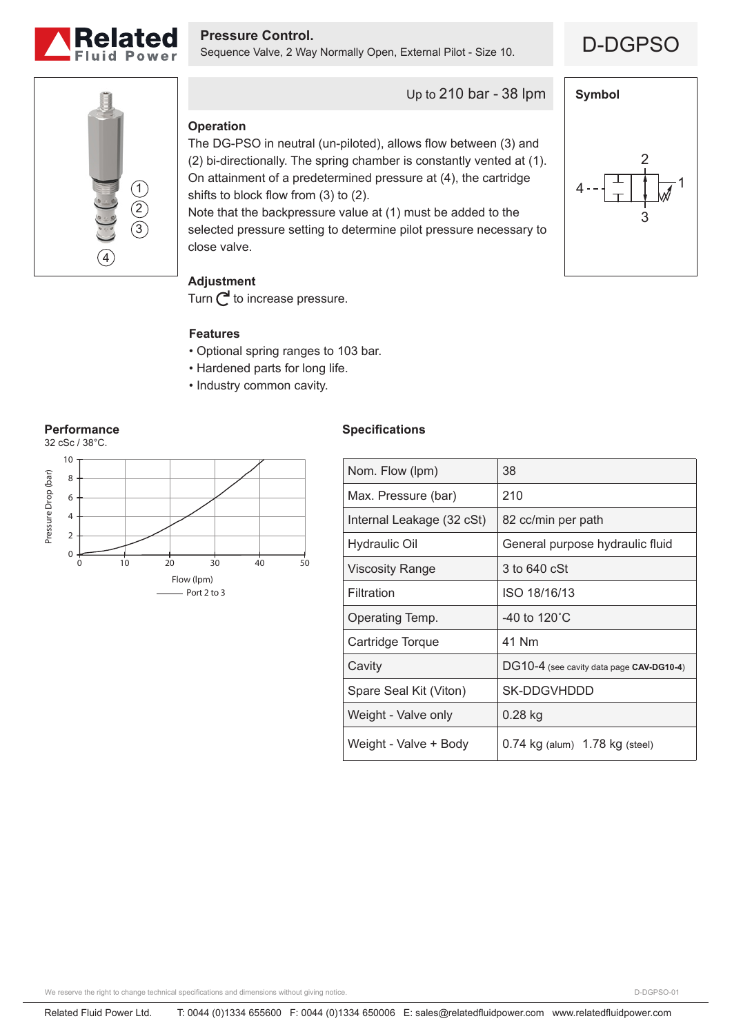

**Pressure Control.**<br>Sequence Valve, 2 Way Normally Open, External Pilot - Size 10. **D-DGPSO** 



**Symbol**

 $4 - \left\lfloor \frac{+}{-} \right\rfloor \left\lfloor \frac{+}{\sqrt{2}} \right\rfloor$ 

2

3



Up to 210 bar - 38 lpm

## **Operation**

The DG-PSO in neutral (un-piloted), allows flow between (3) and (2) bi-directionally. The spring chamber is constantly vented at (1). On attainment of a predetermined pressure at (4), the cartridge shifts to block flow from (3) to (2). Note that the backpressure value at (1) must be added to the

selected pressure setting to determine pilot pressure necessary to close valve.

# **Adjustment**

Turn  $\bigcap$  to increase pressure.

### **Features**

- Optional spring ranges to 103 bar.
- Hardened parts for long life.
- Industry common cavity.



## **Specifications**

| Nom. Flow (lpm)           | 38                                       |
|---------------------------|------------------------------------------|
| Max. Pressure (bar)       | 210                                      |
| Internal Leakage (32 cSt) | 82 cc/min per path                       |
| Hydraulic Oil             | General purpose hydraulic fluid          |
| <b>Viscosity Range</b>    | 3 to 640 cSt                             |
| Filtration                | ISO 18/16/13                             |
| Operating Temp.           | -40 to $120^{\circ}$ C                   |
| Cartridge Torque          | 41 Nm                                    |
| Cavity                    | DG10-4 (see cavity data page CAV-DG10-4) |
| Spare Seal Kit (Viton)    | SK-DDGVHDDD                              |
| Weight - Valve only       | $0.28$ kg                                |
| Weight - Valve + Body     | $0.74$ kg (alum) $1.78$ kg (steel)       |